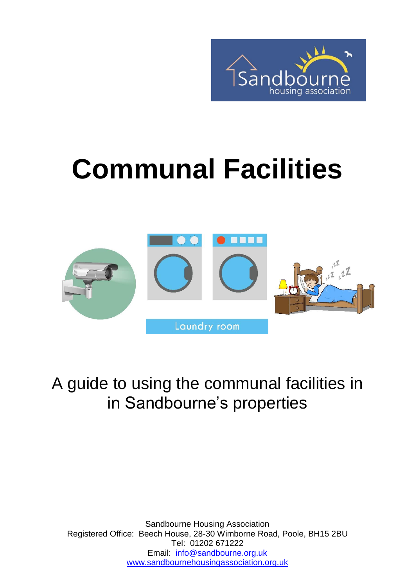

# **Communal Facilities**



A guide to using the communal facilities in in Sandbourne's properties

Sandbourne Housing Association Registered Office: Beech House, 28-30 Wimborne Road, Poole, BH15 2BU Tel: 01202 671222 Email: [info@sandbourne.org.uk](mailto:info@sandbourne.org.uk) [www.sandbournehousingassociation.org.uk](http://www.sandbournehousingassociation.org.uk/)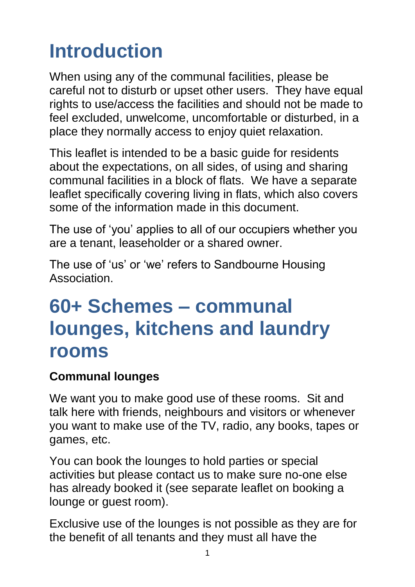# **Introduction**

When using any of the communal facilities, please be careful not to disturb or upset other users. They have equal rights to use/access the facilities and should not be made to feel excluded, unwelcome, uncomfortable or disturbed, in a place they normally access to enjoy quiet relaxation.

This leaflet is intended to be a basic guide for residents about the expectations, on all sides, of using and sharing communal facilities in a block of flats. We have a separate leaflet specifically covering living in flats, which also covers some of the information made in this document.

The use of 'you' applies to all of our occupiers whether you are a tenant, leaseholder or a shared owner.

The use of 'us' or 'we' refers to Sandbourne Housing Association.

### **60+ Schemes – communal lounges, kitchens and laundry rooms**

#### **Communal lounges**

We want you to make good use of these rooms. Sit and talk here with friends, neighbours and visitors or whenever you want to make use of the TV, radio, any books, tapes or games, etc.

You can book the lounges to hold parties or special activities but please contact us to make sure no-one else has already booked it (see separate leaflet on booking a lounge or guest room).

Exclusive use of the lounges is not possible as they are for the benefit of all tenants and they must all have the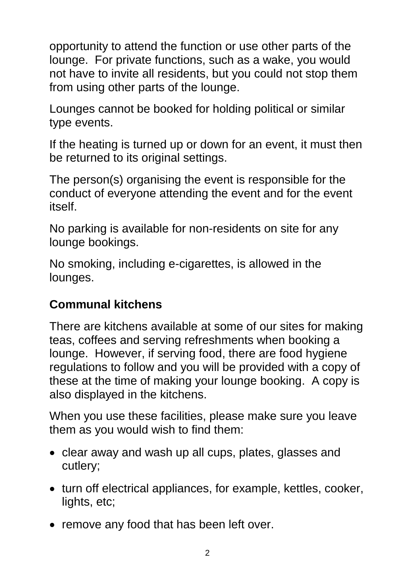opportunity to attend the function or use other parts of the lounge. For private functions, such as a wake, you would not have to invite all residents, but you could not stop them from using other parts of the lounge.

Lounges cannot be booked for holding political or similar type events.

If the heating is turned up or down for an event, it must then be returned to its original settings.

The person(s) organising the event is responsible for the conduct of everyone attending the event and for the event itself.

No parking is available for non-residents on site for any lounge bookings.

No smoking, including e-cigarettes, is allowed in the lounges.

#### **Communal kitchens**

There are kitchens available at some of our sites for making teas, coffees and serving refreshments when booking a lounge. However, if serving food, there are food hygiene regulations to follow and you will be provided with a copy of these at the time of making your lounge booking. A copy is also displayed in the kitchens.

When you use these facilities, please make sure you leave them as you would wish to find them:

- clear away and wash up all cups, plates, glasses and cutlery;
- turn off electrical appliances, for example, kettles, cooker, lights, etc;
- remove any food that has been left over.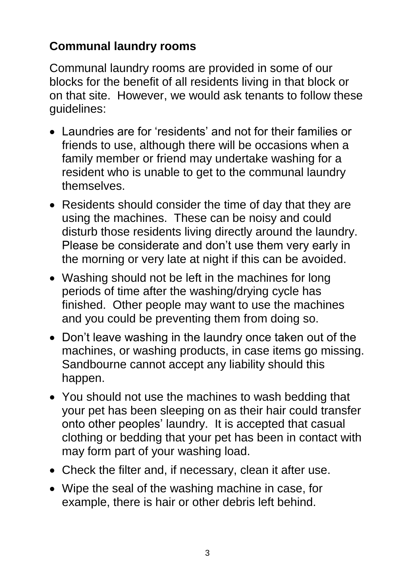#### **Communal laundry rooms**

Communal laundry rooms are provided in some of our blocks for the benefit of all residents living in that block or on that site. However, we would ask tenants to follow these guidelines:

- Laundries are for 'residents' and not for their families or friends to use, although there will be occasions when a family member or friend may undertake washing for a resident who is unable to get to the communal laundry themselves.
- Residents should consider the time of day that they are using the machines. These can be noisy and could disturb those residents living directly around the laundry. Please be considerate and don't use them very early in the morning or very late at night if this can be avoided.
- Washing should not be left in the machines for long periods of time after the washing/drying cycle has finished. Other people may want to use the machines and you could be preventing them from doing so.
- Don't leave washing in the laundry once taken out of the machines, or washing products, in case items go missing. Sandbourne cannot accept any liability should this happen.
- You should not use the machines to wash bedding that your pet has been sleeping on as their hair could transfer onto other peoples' laundry. It is accepted that casual clothing or bedding that your pet has been in contact with may form part of your washing load.
- Check the filter and, if necessary, clean it after use.
- Wipe the seal of the washing machine in case, for example, there is hair or other debris left behind.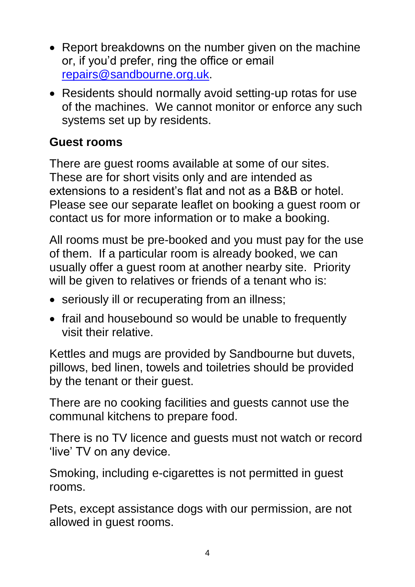- Report breakdowns on the number given on the machine or, if you'd prefer, ring the office or email [repairs@sandbourne.org.uk.](mailto:repairs@sandbourne.org.uk)
- Residents should normally avoid setting-up rotas for use of the machines. We cannot monitor or enforce any such systems set up by residents.

#### **Guest rooms**

There are guest rooms available at some of our sites. These are for short visits only and are intended as extensions to a resident's flat and not as a B&B or hotel. Please see our separate leaflet on booking a guest room or contact us for more information or to make a booking.

All rooms must be pre-booked and you must pay for the use of them. If a particular room is already booked, we can usually offer a guest room at another nearby site. Priority will be given to relatives or friends of a tenant who is:

- seriously ill or recuperating from an illness;
- frail and housebound so would be unable to frequently visit their relative.

Kettles and mugs are provided by Sandbourne but duvets, pillows, bed linen, towels and toiletries should be provided by the tenant or their guest.

There are no cooking facilities and guests cannot use the communal kitchens to prepare food.

There is no TV licence and guests must not watch or record 'live' TV on any device.

Smoking, including e-cigarettes is not permitted in guest rooms.

Pets, except assistance dogs with our permission, are not allowed in guest rooms.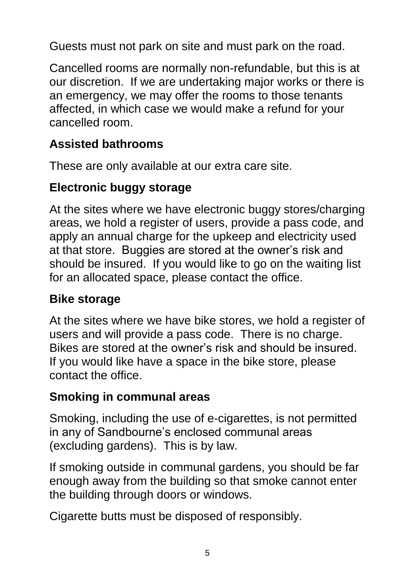Guests must not park on site and must park on the road.

Cancelled rooms are normally non-refundable, but this is at our discretion. If we are undertaking major works or there is an emergency, we may offer the rooms to those tenants affected, in which case we would make a refund for your cancelled room.

#### **Assisted bathrooms**

These are only available at our extra care site.

#### **Electronic buggy storage**

At the sites where we have electronic buggy stores/charging areas, we hold a register of users, provide a pass code, and apply an annual charge for the upkeep and electricity used at that store. Buggies are stored at the owner's risk and should be insured. If you would like to go on the waiting list for an allocated space, please contact the office.

#### **Bike storage**

At the sites where we have bike stores, we hold a register of users and will provide a pass code. There is no charge. Bikes are stored at the owner's risk and should be insured. If you would like have a space in the bike store, please contact the office.

#### **Smoking in communal areas**

Smoking, including the use of e-cigarettes, is not permitted in any of Sandbourne's enclosed communal areas (excluding gardens). This is by law.

If smoking outside in communal gardens, you should be far enough away from the building so that smoke cannot enter the building through doors or windows.

Cigarette butts must be disposed of responsibly.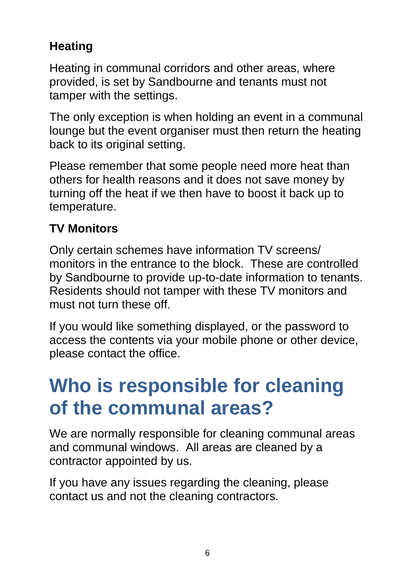### **Heating**

Heating in communal corridors and other areas, where provided, is set by Sandbourne and tenants must not tamper with the settings.

The only exception is when holding an event in a communal lounge but the event organiser must then return the heating back to its original setting.

Please remember that some people need more heat than others for health reasons and it does not save money by turning off the heat if we then have to boost it back up to temperature.

### **TV Monitors**

Only certain schemes have information TV screens/ monitors in the entrance to the block. These are controlled by Sandbourne to provide up-to-date information to tenants. Residents should not tamper with these TV monitors and must not turn these off.

If you would like something displayed, or the password to access the contents via your mobile phone or other device, please contact the office.

### **Who is responsible for cleaning of the communal areas?**

We are normally responsible for cleaning communal areas and communal windows. All areas are cleaned by a contractor appointed by us.

If you have any issues regarding the cleaning, please contact us and not the cleaning contractors.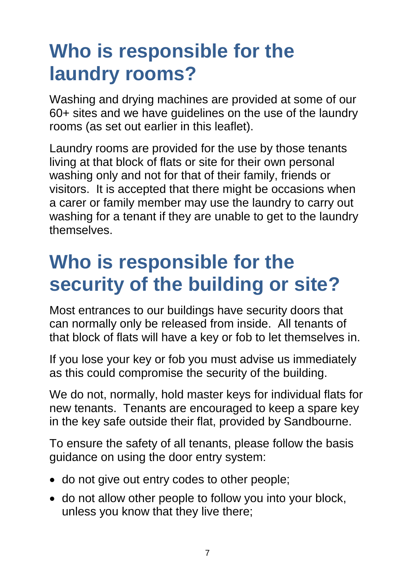## **Who is responsible for the laundry rooms?**

Washing and drying machines are provided at some of our 60+ sites and we have guidelines on the use of the laundry rooms (as set out earlier in this leaflet).

Laundry rooms are provided for the use by those tenants living at that block of flats or site for their own personal washing only and not for that of their family, friends or visitors. It is accepted that there might be occasions when a carer or family member may use the laundry to carry out washing for a tenant if they are unable to get to the laundry themselves.

### **Who is responsible for the security of the building or site?**

Most entrances to our buildings have security doors that can normally only be released from inside. All tenants of that block of flats will have a key or fob to let themselves in.

If you lose your key or fob you must advise us immediately as this could compromise the security of the building.

We do not, normally, hold master keys for individual flats for new tenants. Tenants are encouraged to keep a spare key in the key safe outside their flat, provided by Sandbourne.

To ensure the safety of all tenants, please follow the basis guidance on using the door entry system:

- do not give out entry codes to other people;
- do not allow other people to follow you into your block, unless you know that they live there;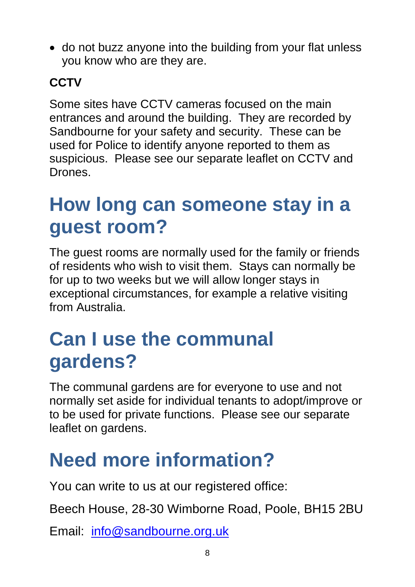• do not buzz anyone into the building from your flat unless you know who are they are.

### **CCTV**

Some sites have CCTV cameras focused on the main entrances and around the building. They are recorded by Sandbourne for your safety and security. These can be used for Police to identify anyone reported to them as suspicious. Please see our separate leaflet on CCTV and Drones.

### **How long can someone stay in a guest room?**

The guest rooms are normally used for the family or friends of residents who wish to visit them. Stays can normally be for up to two weeks but we will allow longer stays in exceptional circumstances, for example a relative visiting from Australia.

### **Can I use the communal gardens?**

The communal gardens are for everyone to use and not normally set aside for individual tenants to adopt/improve or to be used for private functions. Please see our separate leaflet on gardens.

# **Need more information?**

You can write to us at our registered office:

Beech House, 28-30 Wimborne Road, Poole, BH15 2BU

Email: [info@sandbourne.org.uk](mailto:info@sandbourne.org.uk)